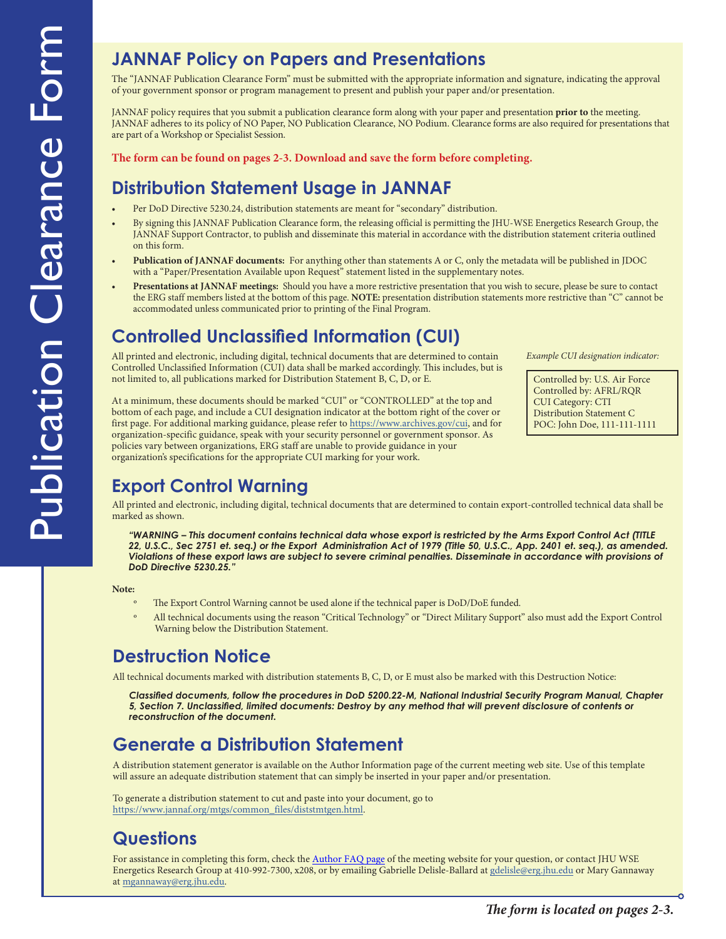#### **JANNAF Policy on Papers and Presentations**

The "JANNAF Publication Clearance Form" must be submitted with the appropriate information and signature, indicating the approval of your government sponsor or program management to present and publish your paper and/or presentation.

JANNAF policy requires that you submit a publication clearance form along with your paper and presentation **prior to** the meeting. JANNAF adheres to its policy of NO Paper, NO Publication Clearance, NO Podium. Clearance forms are also required for presentations that are part of a Workshop or Specialist Session.

**The form can be found on pages 2-3. Download and save the form before completing.**

#### **Distribution Statement Usage in JANNAF**

- Per DoD Directive 5230.24, distribution statements are meant for "secondary" distribution.
- By signing this JANNAF Publication Clearance form, the releasing official is permitting the JHU-WSE Energetics Research Group, the JANNAF Support Contractor, to publish and disseminate this material in accordance with the distribution statement criteria outlined on this form.
- **Publication of JANNAF documents:** For anything other than statements A or C, only the metadata will be published in JDOC with a "Paper/Presentation Available upon Request" statement listed in the supplementary notes.
- **Presentations at JANNAF meetings:** Should you have a more restrictive presentation that you wish to secure, please be sure to contact the ERG staff members listed at the bottom of this page. **NOTE:** presentation distribution statements more restrictive than "C" cannot be accommodated unless communicated prior to printing of the Final Program.

#### **Controlled Unclassified Information (CUI)**

All printed and electronic, including digital, technical documents that are determined to contain Controlled Unclassified Information (CUI) data shall be marked accordingly. This includes, but is not limited to, all publications marked for Distribution Statement B, C, D, or E.

Controlled by: U.S. Air Force *Example CUI designation indicator:*

Controlled by: AFRL/RQR CUI Category: CTI

At a minimum, these documents should be marked "CUI" or "CONTROLLED" at the top and bottom of each page, and include a CUI designation indicator at the bottom right of the cover or first page. For additional marking guidance, please refer to [https://www.archives.gov/cui,](https://www.archives.gov/cui) and for organization-specific guidance, speak with your security personnel or government sponsor. As policies vary between organizations, ERG staff are unable to provide guidance in your organization's specifications for the appropriate CUI marking for your work.

Distribution Statement C POC: John Doe, 111-111-1111

# **Export Control Warning**

All printed and electronic, including digital, technical documents that are determined to contain export-controlled technical data shall be marked as shown.

*"WARNING – This document contains technical data whose export is restricted by the Arms Export Control Act (TITLE 22, U.S.C., Sec 2751 et. seq.) or the Export Administration Act of 1979 (Title 50, U.S.C., App. 2401 et. seq.), as amended. Violations of these export laws are subject to severe criminal penalties. Disseminate in accordance with provisions of DoD Directive 5230.25."*

**Note:**

- The Export Control Warning cannot be used alone if the technical paper is DoD/DoE funded.
- All technical documents using the reason "Critical Technology" or "Direct Military Support" also must add the Export Control Warning below the Distribution Statement.

# **Destruction Notice**

All technical documents marked with distribution statements B, C, D, or E must also be marked with this Destruction Notice:

*Classified documents, follow the procedures in DoD 5200.22-M, National Industrial Security Program Manual, Chapter 5, Section 7. Unclassified, limited documents: Destroy by any method that will prevent disclosure of contents or reconstruction of the document.*

# **Generate a Distribution Statement**

A distribution statement generator is available on the Author Information page of the current meeting web site. Use of this template will assure an adequate distribution statement that can simply be inserted in your paper and/or presentation.

To generate a distribution statement to cut and paste into your document, go to [https://www.jannaf.org/mtgs/common\\_files/diststmtgen.html](https://www.jannaf.org/mtgs/common_files/diststmtgen.html).

# **Questions**

For assistance in completing this form, check the [Author FAQ page](https://www.jannaf.org/mtgs/2022june/pages/FAQ_AUTHOR.html) of the meeting website for your question, or contact JHU WSE Energetics Research Group at 410-992-7300, x208, or by emailing Gabrielle Delisle-Ballard at [gdelisle@erg.jhu.edu](mailto:gdelisle%40erg.jhu.edu?subject=) or Mary Gannaway at [mgannaway@erg.jhu.edu](mailto:mgannaway%40erg.jhu.edu?subject=).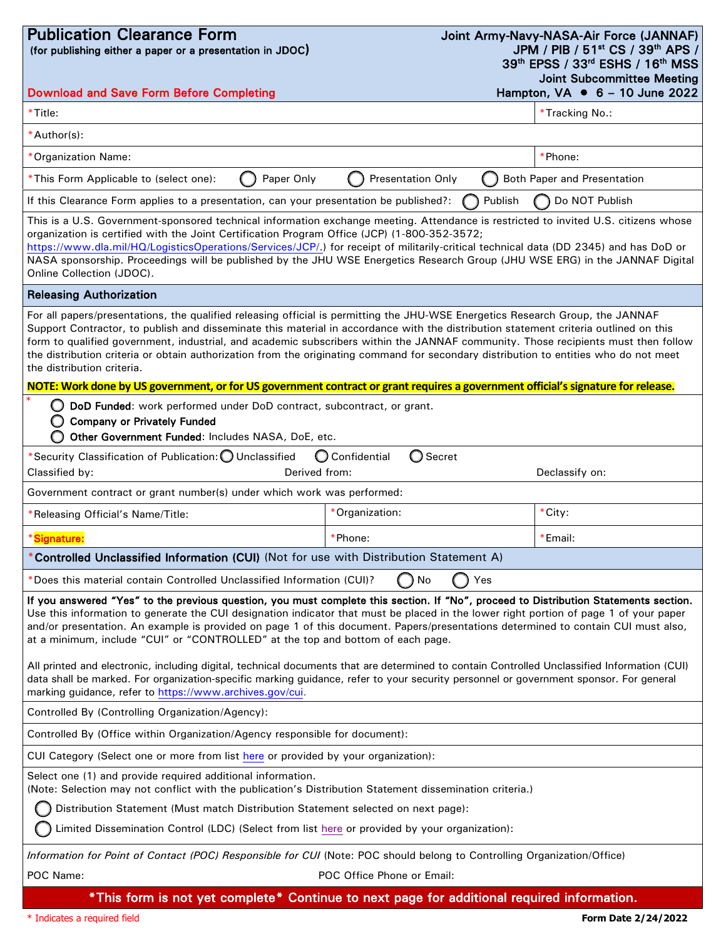| <b>Publication Clearance Form</b><br>(for publishing either a paper or a presentation in JDOC)                                                                                                                                                                                                                                                                                                                                                                                                                                                                                                                                                                                                                                                                                                                                                            |                                     | Joint Army-Navy-NASA-Air Force (JANNAF)<br>JPM / PIB / 51 <sup>st</sup> CS / 39 <sup>th</sup> APS /<br>39th EPSS / 33rd ESHS / 16th MSS<br><b>Joint Subcommittee Meeting</b> |
|-----------------------------------------------------------------------------------------------------------------------------------------------------------------------------------------------------------------------------------------------------------------------------------------------------------------------------------------------------------------------------------------------------------------------------------------------------------------------------------------------------------------------------------------------------------------------------------------------------------------------------------------------------------------------------------------------------------------------------------------------------------------------------------------------------------------------------------------------------------|-------------------------------------|------------------------------------------------------------------------------------------------------------------------------------------------------------------------------|
| <b>Download and Save Form Before Completing</b>                                                                                                                                                                                                                                                                                                                                                                                                                                                                                                                                                                                                                                                                                                                                                                                                           |                                     | Hampton, $VA \cdot 6 - 10$ June 2022                                                                                                                                         |
| *Title:                                                                                                                                                                                                                                                                                                                                                                                                                                                                                                                                                                                                                                                                                                                                                                                                                                                   |                                     | *Tracking No.:                                                                                                                                                               |
| *Author(s):                                                                                                                                                                                                                                                                                                                                                                                                                                                                                                                                                                                                                                                                                                                                                                                                                                               |                                     |                                                                                                                                                                              |
| *Organization Name:                                                                                                                                                                                                                                                                                                                                                                                                                                                                                                                                                                                                                                                                                                                                                                                                                                       |                                     | *Phone:                                                                                                                                                                      |
| *This Form Applicable to (select one):<br>Paper Only                                                                                                                                                                                                                                                                                                                                                                                                                                                                                                                                                                                                                                                                                                                                                                                                      | <b>Presentation Only</b>            | Both Paper and Presentation                                                                                                                                                  |
| If this Clearance Form applies to a presentation, can your presentation be published?:                                                                                                                                                                                                                                                                                                                                                                                                                                                                                                                                                                                                                                                                                                                                                                    | Publish                             | Do NOT Publish                                                                                                                                                               |
| This is a U.S. Government-sponsored technical information exchange meeting. Attendance is restricted to invited U.S. citizens whose<br>organization is certified with the Joint Certification Program Office (JCP) (1-800-352-3572;<br>https://www.dla.mil/HQ/LogisticsOperations/Services/JCP/.) for receipt of militarily-critical technical data (DD 2345) and has DoD or<br>NASA sponsorship. Proceedings will be published by the JHU WSE Energetics Research Group (JHU WSE ERG) in the JANNAF Digital<br>Online Collection (JDOC).                                                                                                                                                                                                                                                                                                                 |                                     |                                                                                                                                                                              |
| <b>Releasing Authorization</b>                                                                                                                                                                                                                                                                                                                                                                                                                                                                                                                                                                                                                                                                                                                                                                                                                            |                                     |                                                                                                                                                                              |
| For all papers/presentations, the qualified releasing official is permitting the JHU-WSE Energetics Research Group, the JANNAF<br>Support Contractor, to publish and disseminate this material in accordance with the distribution statement criteria outlined on this<br>form to qualified government, industrial, and academic subscribers within the JANNAF community. Those recipients must then follow<br>the distribution criteria or obtain authorization from the originating command for secondary distribution to entities who do not meet<br>the distribution criteria.                                                                                                                                                                                                                                                                        |                                     |                                                                                                                                                                              |
| NOTE: Work done by US government, or for US government contract or grant requires a government official's signature for release.                                                                                                                                                                                                                                                                                                                                                                                                                                                                                                                                                                                                                                                                                                                          |                                     |                                                                                                                                                                              |
| DoD Funded: work performed under DoD contract, subcontract, or grant.<br>Ω<br><b>Company or Privately Funded</b><br>O<br>Other Government Funded: Includes NASA, DoE, etc.                                                                                                                                                                                                                                                                                                                                                                                                                                                                                                                                                                                                                                                                                |                                     |                                                                                                                                                                              |
| *Security Classification of Publication: O Unclassified<br>Classified by:<br>Derived from:                                                                                                                                                                                                                                                                                                                                                                                                                                                                                                                                                                                                                                                                                                                                                                | O Confidential<br>$\bigcirc$ Secret | Declassify on:                                                                                                                                                               |
| Government contract or grant number(s) under which work was performed:                                                                                                                                                                                                                                                                                                                                                                                                                                                                                                                                                                                                                                                                                                                                                                                    |                                     |                                                                                                                                                                              |
| *Releasing Official's Name/Title:                                                                                                                                                                                                                                                                                                                                                                                                                                                                                                                                                                                                                                                                                                                                                                                                                         | *Organization:                      | *City:                                                                                                                                                                       |
| *Signature:                                                                                                                                                                                                                                                                                                                                                                                                                                                                                                                                                                                                                                                                                                                                                                                                                                               | *Phone:                             | *Email:                                                                                                                                                                      |
| Controlled Unclassified Information (CUI) (Not for use with Distribution Statement A)                                                                                                                                                                                                                                                                                                                                                                                                                                                                                                                                                                                                                                                                                                                                                                     |                                     |                                                                                                                                                                              |
| *Does this material contain Controlled Unclassified Information (CUI)?                                                                                                                                                                                                                                                                                                                                                                                                                                                                                                                                                                                                                                                                                                                                                                                    | No<br>Yes                           |                                                                                                                                                                              |
| If you answered "Yes" to the previous question, you must complete this section. If "No", proceed to Distribution Statements section.<br>Use this information to generate the CUI designation indicator that must be placed in the lower right portion of page 1 of your paper<br>and/or presentation. An example is provided on page 1 of this document. Papers/presentations determined to contain CUI must also,<br>at a minimum, include "CUI" or "CONTROLLED" at the top and bottom of each page.<br>All printed and electronic, including digital, technical documents that are determined to contain Controlled Unclassified Information (CUI)<br>data shall be marked. For organization-specific marking guidance, refer to your security personnel or government sponsor. For general<br>marking guidance, refer to https://www.archives.gov/cui. |                                     |                                                                                                                                                                              |
| Controlled By (Controlling Organization/Agency):                                                                                                                                                                                                                                                                                                                                                                                                                                                                                                                                                                                                                                                                                                                                                                                                          |                                     |                                                                                                                                                                              |
| Controlled By (Office within Organization/Agency responsible for document):                                                                                                                                                                                                                                                                                                                                                                                                                                                                                                                                                                                                                                                                                                                                                                               |                                     |                                                                                                                                                                              |
| CUI Category (Select one or more from list here or provided by your organization):                                                                                                                                                                                                                                                                                                                                                                                                                                                                                                                                                                                                                                                                                                                                                                        |                                     |                                                                                                                                                                              |
| Select one (1) and provide required additional information.<br>(Note: Selection may not conflict with the publication's Distribution Statement dissemination criteria.)                                                                                                                                                                                                                                                                                                                                                                                                                                                                                                                                                                                                                                                                                   |                                     |                                                                                                                                                                              |
| Distribution Statement (Must match Distribution Statement selected on next page):                                                                                                                                                                                                                                                                                                                                                                                                                                                                                                                                                                                                                                                                                                                                                                         |                                     |                                                                                                                                                                              |
| Limited Dissemination Control (LDC) (Select from list here or provided by your organization):                                                                                                                                                                                                                                                                                                                                                                                                                                                                                                                                                                                                                                                                                                                                                             |                                     |                                                                                                                                                                              |
| Information for Point of Contact (POC) Responsible for CUI (Note: POC should belong to Controlling Organization/Office)                                                                                                                                                                                                                                                                                                                                                                                                                                                                                                                                                                                                                                                                                                                                   |                                     |                                                                                                                                                                              |
| POC Name:                                                                                                                                                                                                                                                                                                                                                                                                                                                                                                                                                                                                                                                                                                                                                                                                                                                 | POC Office Phone or Email:          |                                                                                                                                                                              |

\*This form is not yet complete\* Continue to next page for additional required information.